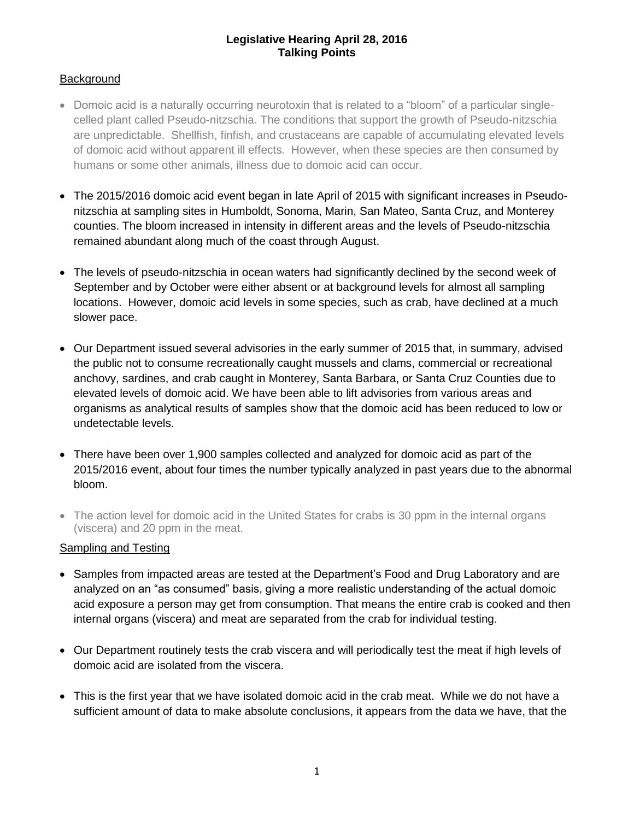#### **Legislative Hearing April 28, 2016 Talking Points**

# **Background**

- Domoic acid is a naturally occurring neurotoxin that is related to a "bloom" of a particular singlecelled plant called Pseudo-nitzschia. The conditions that support the growth of Pseudo-nitzschia are unpredictable. Shellfish, finfish, and crustaceans are capable of accumulating elevated levels of domoic acid without apparent ill effects. However, when these species are then consumed by humans or some other animals, illness due to domoic acid can occur.
- The 2015/2016 domoic acid event began in late April of 2015 with significant increases in Pseudonitzschia at sampling sites in Humboldt, Sonoma, Marin, San Mateo, Santa Cruz, and Monterey counties. The bloom increased in intensity in different areas and the levels of Pseudo-nitzschia remained abundant along much of the coast through August.
- The levels of pseudo-nitzschia in ocean waters had significantly declined by the second week of September and by October were either absent or at background levels for almost all sampling locations. However, domoic acid levels in some species, such as crab, have declined at a much slower pace.
- Our Department issued several advisories in the early summer of 2015 that, in summary, advised the public not to consume recreationally caught mussels and clams, commercial or recreational anchovy, sardines, and crab caught in Monterey, Santa Barbara, or Santa Cruz Counties due to elevated levels of domoic acid. We have been able to lift advisories from various areas and organisms as analytical results of samples show that the domoic acid has been reduced to low or undetectable levels.
- There have been over 1,900 samples collected and analyzed for domoic acid as part of the 2015/2016 event, about four times the number typically analyzed in past years due to the abnormal bloom.
- The action level for domoic acid in the United States for crabs is 30 ppm in the internal organs (viscera) and 20 ppm in the meat.

# Sampling and Testing

- Samples from impacted areas are tested at the Department's Food and Drug Laboratory and are analyzed on an "as consumed" basis, giving a more realistic understanding of the actual domoic acid exposure a person may get from consumption. That means the entire crab is cooked and then internal organs (viscera) and meat are separated from the crab for individual testing.
- Our Department routinely tests the crab viscera and will periodically test the meat if high levels of domoic acid are isolated from the viscera.
- This is the first year that we have isolated domoic acid in the crab meat. While we do not have a sufficient amount of data to make absolute conclusions, it appears from the data we have, that the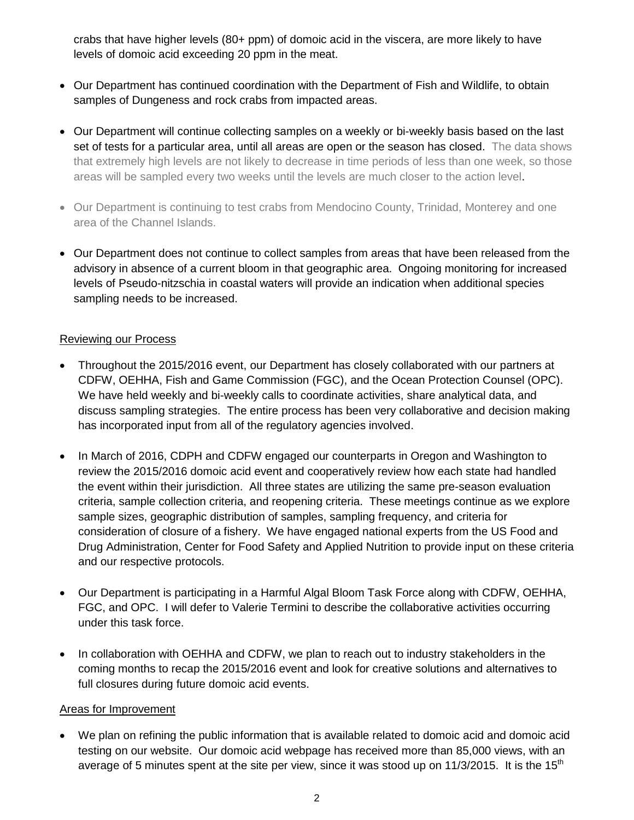crabs that have higher levels (80+ ppm) of domoic acid in the viscera, are more likely to have levels of domoic acid exceeding 20 ppm in the meat.

- Our Department has continued coordination with the Department of Fish and Wildlife, to obtain samples of Dungeness and rock crabs from impacted areas.
- Our Department will continue collecting samples on a weekly or bi-weekly basis based on the last set of tests for a particular area, until all areas are open or the season has closed. The data shows that extremely high levels are not likely to decrease in time periods of less than one week, so those areas will be sampled every two weeks until the levels are much closer to the action level.
- Our Department is continuing to test crabs from Mendocino County, Trinidad, Monterey and one area of the Channel Islands.
- Our Department does not continue to collect samples from areas that have been released from the advisory in absence of a current bloom in that geographic area. Ongoing monitoring for increased levels of Pseudo-nitzschia in coastal waters will provide an indication when additional species sampling needs to be increased.

### Reviewing our Process

- Throughout the 2015/2016 event, our Department has closely collaborated with our partners at CDFW, OEHHA, Fish and Game Commission (FGC), and the Ocean Protection Counsel (OPC). We have held weekly and bi-weekly calls to coordinate activities, share analytical data, and discuss sampling strategies. The entire process has been very collaborative and decision making has incorporated input from all of the regulatory agencies involved.
- In March of 2016, CDPH and CDFW engaged our counterparts in Oregon and Washington to review the 2015/2016 domoic acid event and cooperatively review how each state had handled the event within their jurisdiction. All three states are utilizing the same pre-season evaluation criteria, sample collection criteria, and reopening criteria. These meetings continue as we explore sample sizes, geographic distribution of samples, sampling frequency, and criteria for consideration of closure of a fishery. We have engaged national experts from the US Food and Drug Administration, Center for Food Safety and Applied Nutrition to provide input on these criteria and our respective protocols.
- Our Department is participating in a Harmful Algal Bloom Task Force along with CDFW, OEHHA, FGC, and OPC. I will defer to Valerie Termini to describe the collaborative activities occurring under this task force.
- In collaboration with OEHHA and CDFW, we plan to reach out to industry stakeholders in the coming months to recap the 2015/2016 event and look for creative solutions and alternatives to full closures during future domoic acid events.

#### Areas for Improvement

 We plan on refining the public information that is available related to domoic acid and domoic acid testing on our website. Our domoic acid webpage has received more than 85,000 views, with an average of 5 minutes spent at the site per view, since it was stood up on  $11/3/2015$ . It is the  $15<sup>th</sup>$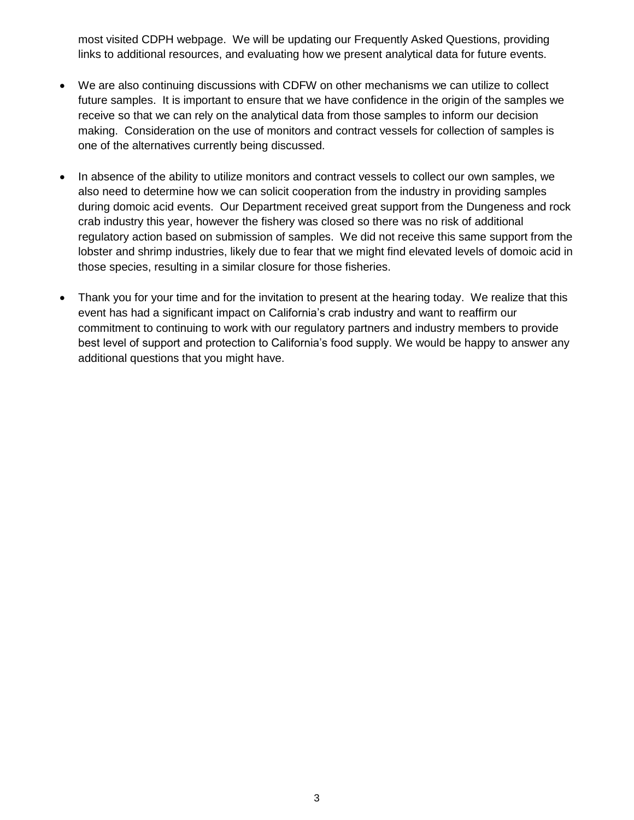most visited CDPH webpage. We will be updating our Frequently Asked Questions, providing links to additional resources, and evaluating how we present analytical data for future events.

- We are also continuing discussions with CDFW on other mechanisms we can utilize to collect future samples. It is important to ensure that we have confidence in the origin of the samples we receive so that we can rely on the analytical data from those samples to inform our decision making. Consideration on the use of monitors and contract vessels for collection of samples is one of the alternatives currently being discussed.
- In absence of the ability to utilize monitors and contract vessels to collect our own samples, we also need to determine how we can solicit cooperation from the industry in providing samples during domoic acid events. Our Department received great support from the Dungeness and rock crab industry this year, however the fishery was closed so there was no risk of additional regulatory action based on submission of samples. We did not receive this same support from the lobster and shrimp industries, likely due to fear that we might find elevated levels of domoic acid in those species, resulting in a similar closure for those fisheries.
- Thank you for your time and for the invitation to present at the hearing today. We realize that this event has had a significant impact on California's crab industry and want to reaffirm our commitment to continuing to work with our regulatory partners and industry members to provide best level of support and protection to California's food supply. We would be happy to answer any additional questions that you might have.